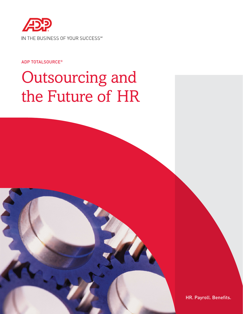

#### ADP TOTALSOURCE®

# Outsourcing and the Future of HR

HR. Payroll. Benefits.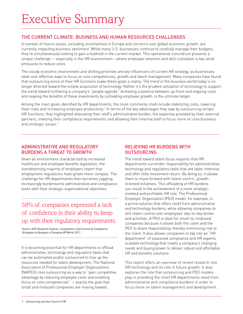#### The Current Climate: Business and Human Resources Challenges

A number of macro issues, including uncertainties in Europe and concerns over global economic growth, are currently impacting business sentiment. While many U.S. businesses continue to carefully manage their budgets, they're simultaneously looking to gain a foothold in the current market. This operational conundrum presents a unique challenge — especially in the HR environment— where employee retention and skill cultivation is key amid pressures to reduce costs.

The cloudy economic environment and shifting priorities are key influencers of current HR strategy, as businesses seek cost-effective ways to focus on core competencies, growth and talent management. Many companies have found that outsourcing some of their HR functions make these goals a reality. The trend in the business world today is no longer directed toward the simple acquisition of technology. Rather it's the prudent utilization of technology to support the trend toward furthering a company's "people agenda." Achieving a balance between up-front and ongoing costs and reaping the benefits of these investments by cultivating employee growth, is the ultimate target.

Among the main goals identified by HR departments, the most commonly cited include stabilizing costs, lowering their risks and increasing employee productivity.<sup>1</sup> In terms of the key advantages they saw by outsourcing certain HR functions, they highlighted alleviating their staff's administrative burden, the expertise provided by their external partners, meeting their compliance requirements and allowing their internal staff to focus more on core business and strategic issues.<sup>2</sup>

#### ADMINISTRATIVE AND REGULATORY BURDENS A THREAT TO GROWTH

Given an environment characterized by increased healthcare and employee benefits legislation, the overwhelming majority of employers report that employment regulations have grown more complex. The challenge for HR departments then becomes juggling increasingly burdensome administrative and compliance tasks with their strategic organizational objectives.

## 50% of companies expressed a lack of confidence in their ability to keep up with their regulatory requirements.

Source: ADP Research Institute. Competition, Cost Control & Compliance Strategies to Navigate a Changing HR World, 2011.

It is becoming essential for HR departments to offload administrative, technology and regulatory tasks that can be automated and/or outsourced to free up the resources needed for talent development. The National Association of Professional Employer Organizations (NAPEO) cites outsourcing as a way to "gain competitive advantage by reducing employee costs and enabling focus on core competencies" — exactly the goal that small and midsized companies are moving toward.

#### RELIEVING HR BURDENS WITH OUTSOURCING

The trend toward talent focus requires that HR departments surrender responsibility for administrative, technology and regulatory tasks that are labor intensive and offer little investment return. By doing so, it allows them to move forward with talent-centric, growthoriented initiatives. This offloading of HR burdens can result in the achievement of a more strategic, involved and profitable HR role. The Professional Employer Organization (PEO) model, for example, is a prime solution that offers relief from administrative and technology burdens, while allowing companies to still retain control over employees' day-to-day duties and activities. A PEO is ideal for small-to-midsized companies because it allows both the client and the PEO to share responsibility, thereby minimizing risk to the client. It also allows companies to tap into an "HR department" of seasoned compliance and HR experts, scalable technology that meets a company's changing needs and buying power to deliver robust and affordable HR and benefits solutions.

This report offers an overview of recent research into HR technology and its role in future growth. It also explores the role that outsourcing and PEO models play in providing the relief HR departments need from administrative and compliance burdens in order to focus more on talent management and development.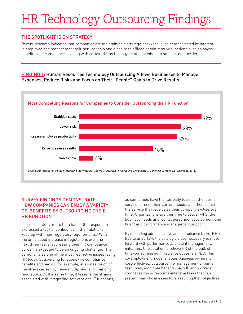# HR Technology Outsourcing Findings

#### THE SPOTLIGHT IS ON STRATEGY

Recent research indicates that companies are maintaining a strategy-heavy focus, as demonstrated by interest in employee and management self-service tools and a desire to offload administrative functions such as payroll, benefits, and compliance — along with certain HR technology-related needs — to outsourced providers.

#### Finding 1: Human Resources Technology Outsourcing Allows Businesses to Manage Expenses, Reduce Risks and Focus on Their "People" Goals to Drive Results



#### Survey findings demonstrate how companies can enjoy a variety of benefits by outsourcing their HR function

In a recent study, more than half of the responders expressed a lack of confidence in their ability to keep up with their regulatory requirements.3 With the anticipated increase in regulations over the next three years, addressing their HR compliance burden is expected to be an ongoing challenge. This demonstrates one of the most restrictive issues facing HR today. Outsourcing functions like compliance, benefits and payroll, for example, alleviates much of the strain caused by these multiplying and changing regulations. At the same time, it lessens the strains associated with integrating software and IT functions,

as companies have the flexibility to select the level of service to meet their current needs, and then adjust the service they receive as their company evolves over time. Organizations are then free to deliver what the business needs and wants: personnel development and talent and performance management support.

By offloading administrative and compliance tasks, HR is free to undertake the strategic steps necessary to move forward with performance and talent management, initiatives. One solution to relieve HR of the bulk of time-consuming administrative duties is a PEO. This co-employment model enables business owners to cost-effectively outsource the management of human resources, employee benefits, payroll, and workers' compensation — resource-intensive tasks that can prevent many businesses from reaching their objectives.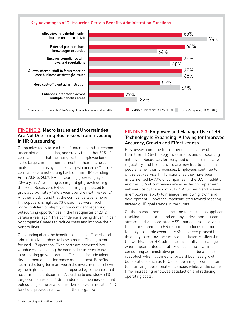#### Key Advantages of Outsourcing Certain Benefits Administration Functions



#### Finding 2: Macro Issues and Uncertainties Are Not Deterring Businesses from Investing in HR Outsourcing

Companies today face a host of macro and other economic uncertainties. In addition, one survey found that 60% of companies feel that the rising cost of employee benefits is the largest impediment to meeting their business goals—in fact, it is by far their largest concern.<sup>4</sup> Yet, most companies are not cutting back on their HR spending. From 2004 to 2007, HR outsourcing grew roughly 25- 30% a year. After falling to single-digit growth during the Great Recession, HR outsourcing is projected to grow approximately 16% a year over the next five years.5 Another study found that the confidence level among HR suppliers is high, as 73% said they were much more confident or slightly more confident regarding outsourcing opportunities in the first quarter of 2012 versus a year ago.<sup>6</sup> This confidence is being driven, in part, by companies' needs to reduce costs and improve their bottom lines.

Outsourcing offers the benefit of offloading IT needs and administrative burdens to have a more efficient, talentfocused HR operation. Fixed costs are converted into variable costs, opening the door for businesses to invest in promoting growth through efforts that include talent development and performance management. Benefits seen in the long-term are worth the investment, as shown by the high rate of satisfaction reported by companies that have turned to outsourcing. According to one study, 91% of large companies and 80% of midsized companies said that outsourcing some or all of their benefits administration/HR functions provided real value for their organizations.<sup>7</sup>

#### Finding 3: Employee and Manager Use of HR Technology Is Expanding, Allowing for Improved Accuracy, Growth and Effectiveness

Businesses continue to experience positive results from their HR technology investments and outsourcing initiatives. Resources formerly tied up in administrative, regulatory, and IT endeavors are now free to focus on people rather than processes. Employees continue to utilize self-service HR functions, as they have been implemented by 79% of companies in the U.S. In addition, another 15% of companies are expected to implement self-service by the end of 2012.<sup>8</sup> A further trend is seen in employees' ability to manage their own growth and development — another important step toward meeting strategic HR goal trends in the future.

On the management side, routine tasks such as applicant tracking, on-boarding and employee development can be streamlined via integrated MSS (manager self-service) tools, thus freeing up HR resources to focus on more tangibly profitable avenues. MSS has been praised for its ability to improve accuracy and efficiency, alleviating the workload for HR, administrative staff and managers when implemented and utilized appropriately. Timeconsuming administrative processes can be a major roadblock when it comes to forward business growth, but solutions such as PEOs can be a major contributor to improving operational efficiencies while, at the same time, increasing employee satisfaction and reducing operating costs.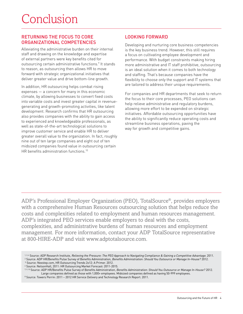#### RETURNING THE FOCUS TO CORE ORGANIZATIONAL COMPETENCIES

Alleviating the administrative burden on their internal staff and drawing on the knowledge and expertise of external partners were key benefits cited for outsourcing certain administrative functions.<sup>9</sup> It stands to reason, as outsourcing then allows HR to move forward with strategic organizational initiatives that deliver greater value and drive bottom-line growth.

In addition, HR outsourcing helps combat rising expenses — a concern for many in this economic climate, by allowing businesses to convert fixed costs into variable costs and invest greater capital in revenuegenerating and growth-promoting activities, like talent development. Research confirms that HR outsourcing also provides companies with the ability to gain access to experienced and knowledgeable professionals, as well as state-of-the-art technological solutions to improve customer service and enable HR to deliver greater overall value to the organization. In fact, roughly nine out of ten large companies and eight out of ten midsized companies found value in outsourcing certain HR benefits administration functions.10

#### LOOKING FORWARD

Developing and nurturing core business competencies is the key business trend. However, this still requires a focus on cultivating employee development and performance. With budget constraints making hiring more administrative and IT staff prohibitive, outsourcing is an ideal solution when it comes to both technology and staffing. That's because companies have the flexibility to choose only the support and IT systems that are tailored to address their unique requirements.

For companies and HR departments that seek to return the focus to their core processes, PEO solutions can help relieve administrative and regulatory burdens, allowing more effort to be expended on strategic initiatives. Affordable outsourcing opportunities have the ability to significantly reduce operating costs and streamline business operations, paving the way for growth and competitive gains.

ADP's Professional Employer Organization (PEO), TotalSource®, provides employers with a comprehensive Human Resources outsourcing solution that helps reduce the costs and complexities related to employment and human resources management. ADP's integrated PEO services enable employers to deal with the costs, complexities, and administrative burdens of human resources and employment management. For more information, contact your ADP TotalSource representative at 800-HIRE-ADP and visit www.adptotalsource.com.

<sup>1, 3, 4</sup> Source: ADP Research Institute, Relieving the Pressure: The PEO Approach to Navigating Compliance & Gaining a Competitive Advantage. 2011. <sup>2</sup> Source: ADP HR/Benefits Pulse Survey of Benefits Administration, Benefits Administration: Should You Outsource or Manage In-House? 2012.<br><sup>5</sup> Source: Nexstep.com, HR Outsourcing Trends 2o12: A Primer. 2012.

<sup>6</sup> Source: NelsonHall, 2011: HR Outsourcing Market Forecast: 2011-2015.

<sup>7, 9, 10</sup> Source: ADP HR/Benefits Pulse Survey of Benefits Administration, Benefits Administration: Should You Outsource or Manage In-House? 2012. Large companies defined as those with 1,000+ employees. Midsized companies defined as having 50-999 employees.

<sup>8</sup> Source: Towers Perrin: 2011 – 2012 HR Service Delivery and Technology Research Report. 2011.